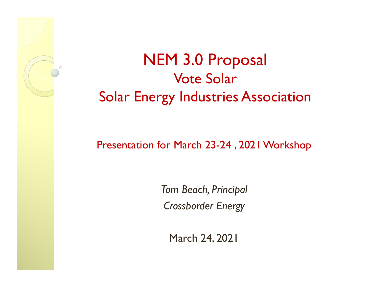

# NEM 3.0 Proposal Vote SolarSolar Energy Industries Association

#### Presentation for March 23-24 , 2021 Workshop

*Tom Beach, Principal Crossborder Energy*

March 24, 2021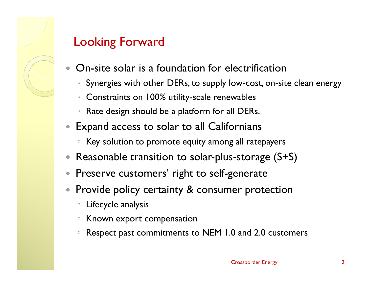

#### Looking Forward

- $\bullet$  On-site solar is a foundation for electrification
	- $\circ$ Synergies with other DERs, to supply low-cost, on-site clean energy
	- $\circ$ Constraints on 100% utility-scale renewables
	- $\circ$ Rate design should be a platform for all DERs.
- Expand access to solar to all Californians
	- Key solution to promote equity among all ratepayers
- $\bullet$ Reasonable transition to solar-plus-storage (S+S)
- $\bullet$ Preserve customers' right to self-generate
- $\bullet$  Provide policy certainty & consumer protection
	- $\circ$ Lifecycle analysis
	- $\circ$ Known export compensation
	- $\circ$ Respect past commitments to NEM 1.0 and 2.0 customers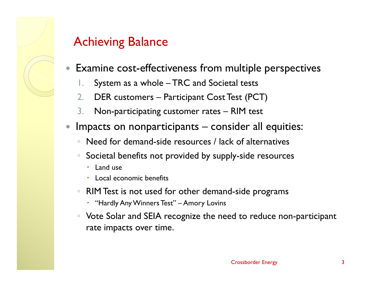

#### Achieving Balance

- $\bullet$  Examine cost-effectiveness from multiple perspectives
	- 1.System as a whole – TRC and Societal tests
	- 2.DER customers – Participant Cost Test (PCT)
	- 3.Non-participating customer rates – RIM test
- $\bullet$  Impacts on nonparticipants – consider all equities:
	- Need for demand-side resources / lack of alternatives
	- Societal benefits not provided by supply-side resources
		- $\bullet$ Land use
		- Local economic benefits
	- RIM Test is not used for other demand-side programs
		- "Hardly Any Winners Test" Amory Lovins
	- Vote Solar and SEIA recognize the need to reduce non-participant rate impacts over time.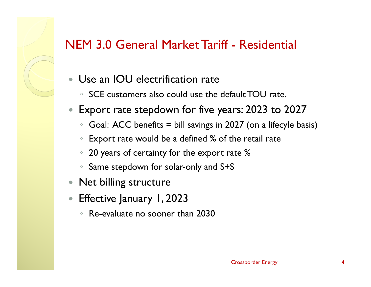#### NEM 3.0 General Market Tariff - Residential

- $\bullet$  Use an IOU electrification rate
	- $\, \circ \,$  SCE customers also could use the default TOU rate.
- $\bullet$  Export rate stepdown for five years: 2023 to 2027
	- $\circ$ Goal: ACC benefits = bill savings in 2027 (on a lifecyle basis)
	- $\circ$ Export rate would be a defined % of the retail rate
	- $\circ$ 20 years of certainty for the export rate %
	- $\circ$ Same stepdown for solar-only and S+S
- $\bullet$ Net billing structure
- $\bullet$  Effective January 1, 2023
	- Re-evaluate no sooner than 2030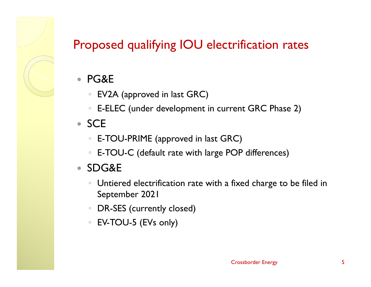## Proposed qualifying IOU electrification rates

- $\bullet$  PG&E
	- EV2A (approved in last GRC)
	- $\, \circ \,$  E-ELEC (under development in current GRC Phase 2)

#### • SCE

- E-TOU-PRIME (approved in last GRC)
- $\, \circ \,$  E-TOU-C (default rate with large POP differences)

#### ● SDG&E

- Untiered electrification rate with a fixed charge to be filed in September 2021
- $\circ$ DR-SES (currently closed)
- EV-TOU-5 (EVs only)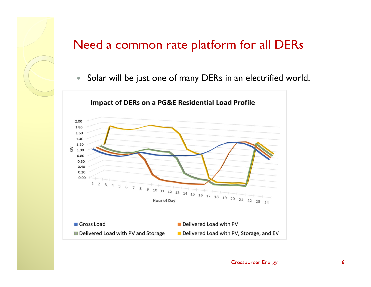#### Need a common rate platform for all DERs

 $\bullet$ Solar will be just one of many DERs in an electrified world.

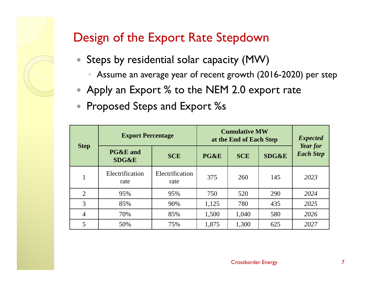#### Design of the Export Rate Stepdown

- Steps by residential solar capacity (MW)
	- Assume an average year of recent growth (2016-2020) per step
- Apply an Export % to the NEM 2.0 export rate
- $\bullet$ Proposed Steps and Export %s

| <b>Step</b>    | <b>Export Percentage</b>                |                         | <b>Cumulative MW</b><br>at the End of Each Step |            |                  | <b>Expected</b><br>Year for |
|----------------|-----------------------------------------|-------------------------|-------------------------------------------------|------------|------------------|-----------------------------|
|                | <b>PG&amp;E</b> and<br><b>SDG&amp;E</b> | <b>SCE</b>              | PG&E                                            | <b>SCE</b> | <b>SDG&amp;E</b> | <b>Each Step</b>            |
|                | Electrification<br>rate                 | Electrification<br>rate | 375                                             | 260        | 145              | 2023                        |
| 2              | 95%                                     | 95%                     | 750                                             | 520        | 290              | 2024                        |
| 3              | 85%                                     | 90%                     | 1,125                                           | 780        | 435              | 2025                        |
| $\overline{4}$ | 70%                                     | 85%                     | 1,500                                           | 1,040      | 580              | 2026                        |
| 5              | 50%                                     | 75%                     | 1,875                                           | 1,300      | 625              | 2027                        |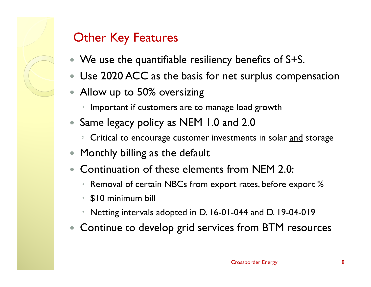#### Other Key Features

- We use the quantifiable resiliency benefits of S+S.
- Use 2020 ACC as the basis for net surplus compensation
- Allow up to 50% oversizing
	- $\circ$ Important if customers are to manage load growth
- Same legacy policy as NEM 1.0 and 2.0
	- ∘ Critical to encourage customer investments in solar <u>and</u> storage
- $\bullet$ Monthly billing as the default
- $\bullet$  Continuation of these elements from NEM 2.0:
	- $^{\circ}$ Removal of certain NBCs from export rates, before export %
	- $\circ$ \$10 minimum bill
	- $\circ$ Netting intervals adopted in D. 16-01-044 and D. 19-04-019
- Continue to develop grid services from BTM resources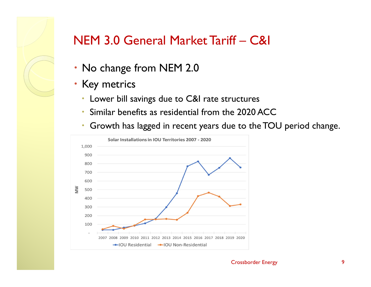

#### NEM 3.0 General Market Tariff – C&I

- No change from NEM 2.0
- Key metrics
	- Lower bill savings due to C&I rate structures
	- $\bullet$ Similar benefits as residential from the 2020 ACC
	- $\bullet$ Growth has lagged in recent years due to the TOU period change.

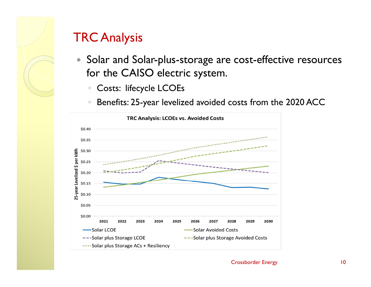## TRC Analysis

- $\bullet$  Solar and Solar-plus-storage are cost-effective resources for the CAISO electric system.
	- $\circ$ Costs: lifecycle LCOEs
	- $\circ$ Benefits: 25-year levelized avoided costs from the 2020 ACC

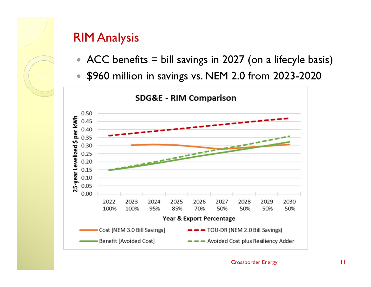#### RIM Analysis

- ACC benefits = bill savings in 2027 (on a lifecyle basis)
- $\bullet$ \$960 million in savings vs. NEM 2.0 from 2023-2020



**SDG&E - RIM Comparison**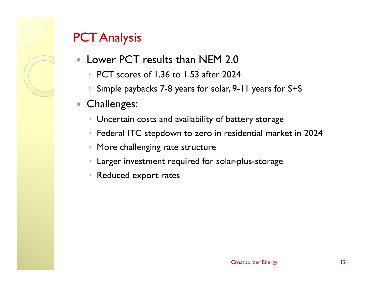### PCT Analysis

- $\bullet$  Lower PCT results than NEM 2.0
	- PCT scores of 1.36 to 1.53 after 2024
	- Simple paybacks 7-8 years for solar, 9-11 years for S+S
- $\bullet$  Challenges:
	- $\, \circ \,$  Uncertain costs and availability of battery storage
	- $\, \circ \,$  Federal ITC stepdown to zero in residential market in 2024
	- $\circ$ More challenging rate structure
	- $\circ$ Larger investment required for solar-plus-storage
	- Reduced export rates